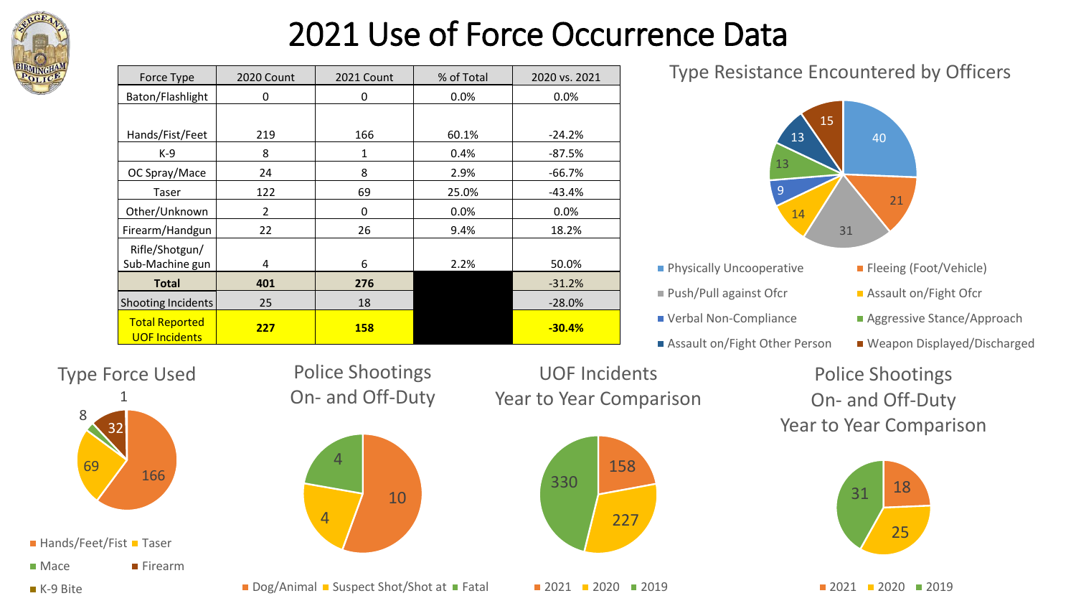

# 2021 Use of Force Occurrence Data

| Force Type                                    | 2020 Count     | 2021 Count | % of Total | 2020 vs. 2021 |
|-----------------------------------------------|----------------|------------|------------|---------------|
| Baton/Flashlight                              | 0              | 0          | 0.0%       | 0.0%          |
|                                               |                |            |            |               |
| Hands/Fist/Feet                               | 219            | 166        | 60.1%      | $-24.2%$      |
| K-9                                           | 8              | 1          | 0.4%       | $-87.5%$      |
| OC Spray/Mace                                 | 24             | 8          | 2.9%       | -66.7%        |
| Taser                                         | 122            | 69         | 25.0%      | $-43.4%$      |
| Other/Unknown                                 | $\overline{2}$ | 0          | 0.0%       | 0.0%          |
| Firearm/Handgun                               | 22             | 26         | 9.4%       | 18.2%         |
| Rifle/Shotgun/                                |                |            |            |               |
| Sub-Machine gun                               | 4              | 6          | 2.2%       | 50.0%         |
| <b>Total</b>                                  | 401            | 276        |            | $-31.2%$      |
| Shooting Incidents                            | 25             | 18         |            | $-28.0%$      |
| <b>Total Reported</b><br><b>UOF Incidents</b> | 227            | <b>158</b> |            | $-30.4%$      |

Type Resistance Encountered by Officers



- **Physically Uncooperative Fleeing (Foot/Vehicle)**
- 
- 
- Assault on/Fight Other Person Weapon Displayed/Discharged
- 
- Push/Pull against Ofcr <br>■ Assault on/Fight Ofcr
- Verbal Non-Compliance <br>■ Aggressive Stance/Approach
	-

Police Shootings On- and Off-Duty Year to Year Comparison



 $2021$  2020 2019

Type Force Used



 $H$ ands/Feet/Fist Taser

■ Mace ■ Firearm

■ K-9 Bite

Police Shootings On- and Off-Duty

10





4

4

 $2021$  2020 2019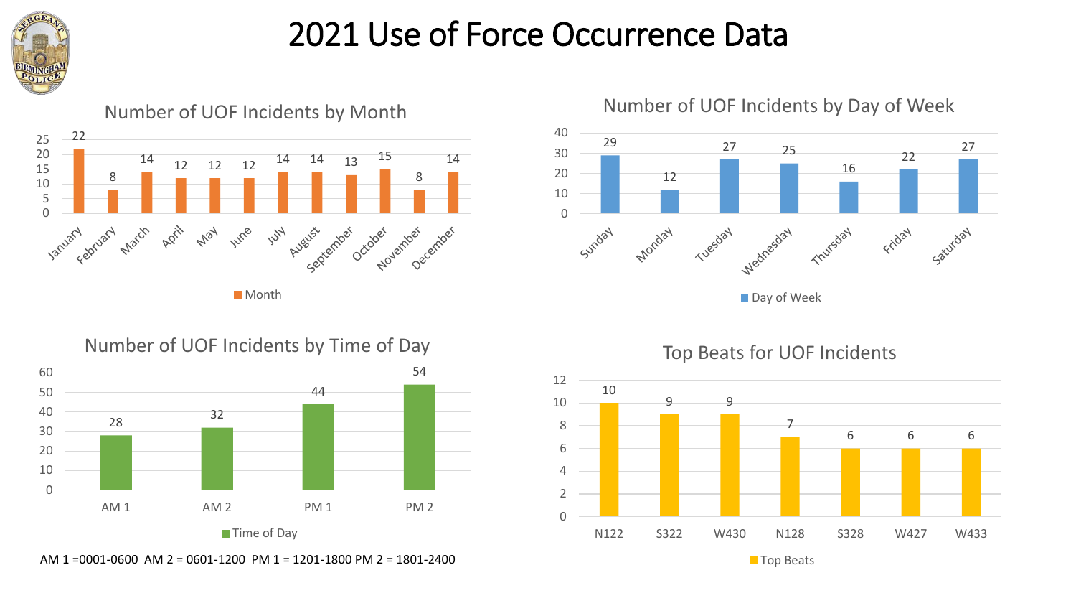

## 2021 Use of Force Occurrence Data



### Number of UOF Incidents by Month



Number of UOF Incidents by Day of Week

### ■ Day of Week





Top Beats for UOF Incidents



AM 1 = 0001-0600 AM 2 = 0601-1200 PM 1 = 1201-1800 PM 2 = 1801-2400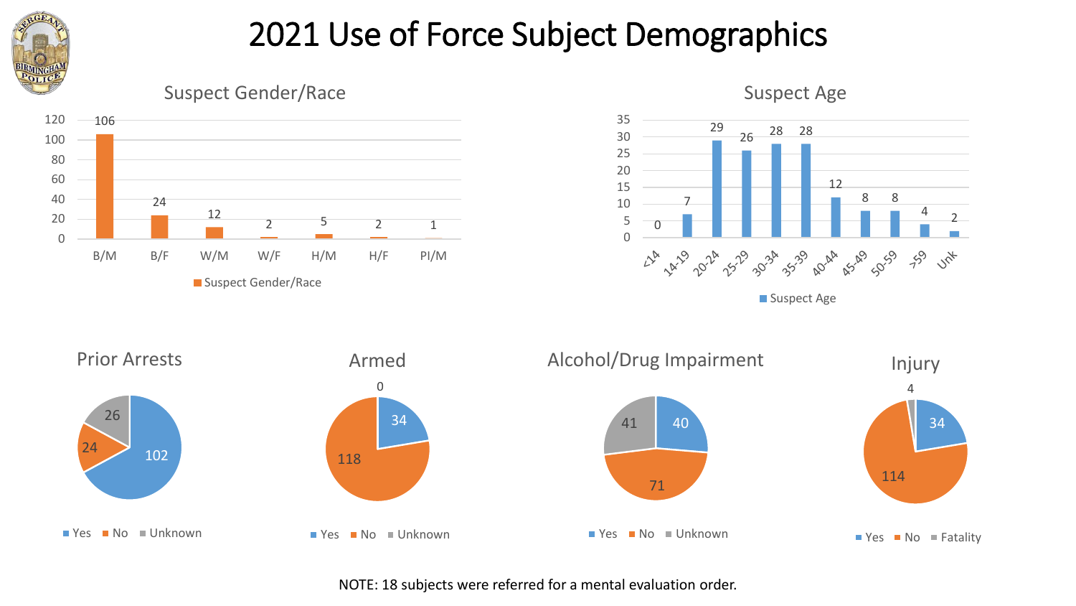

## 2021 Use of Force Subject Demographics







Suspect Age

■ Suspect Age



NOTE: 18 subjects were referred for a mental evaluation order.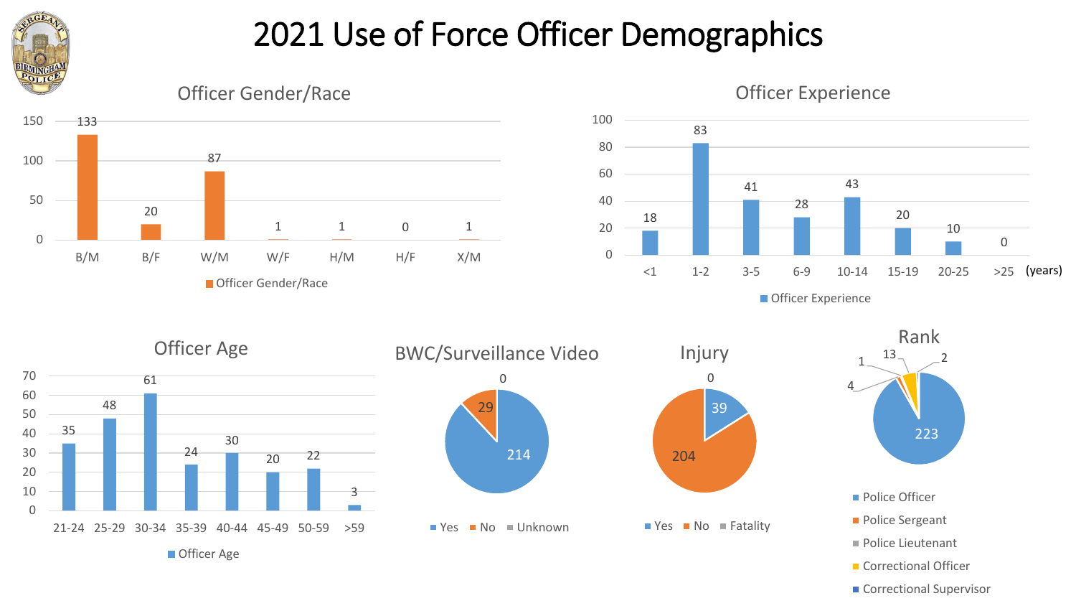

## 2021 Use of Force Officer Demographics



Correctional Supervisor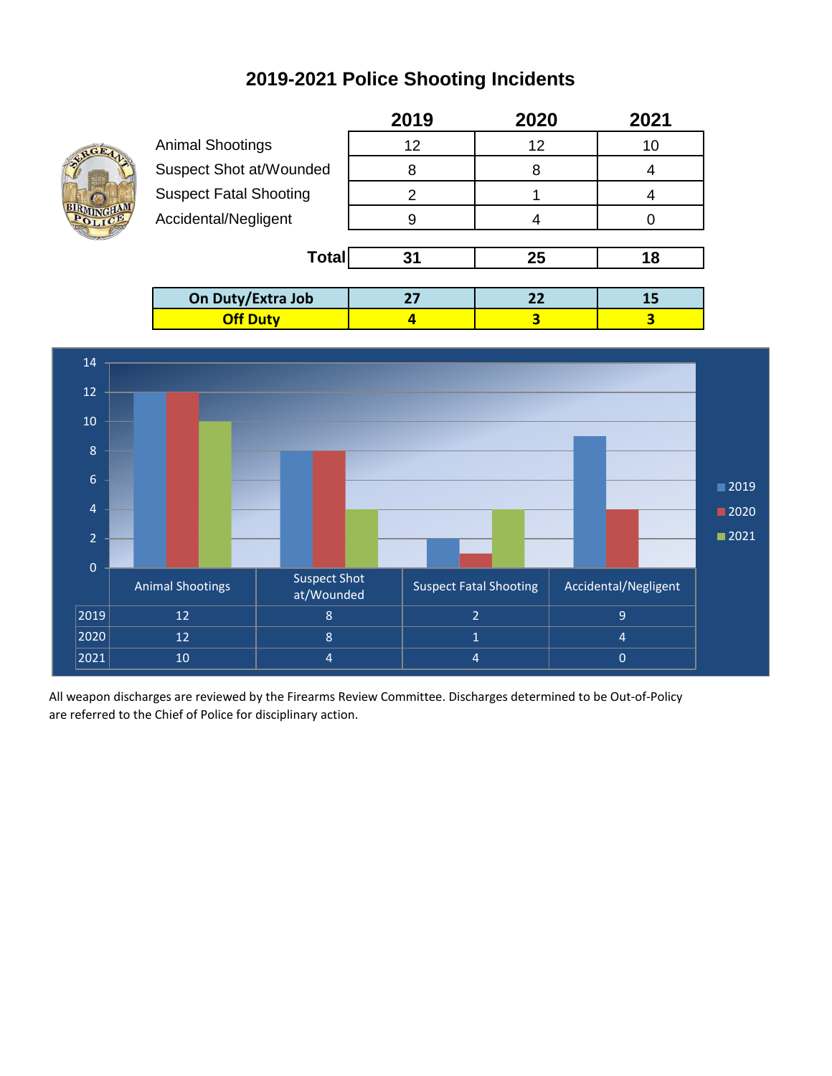### **2019-2021 Police Shooting Incidents**



|                               | 2019 | 2020 | 2021 |  |
|-------------------------------|------|------|------|--|
| <b>Animal Shootings</b>       | 12   | 12   | 10   |  |
| Suspect Shot at/Wounded       | 8    | 8    |      |  |
| <b>Suspect Fatal Shooting</b> | 2    |      |      |  |
| Accidental/Negligent          | 9    |      |      |  |
|                               |      |      |      |  |
| <b>Total</b>                  | 31   | 25   | 18   |  |
|                               |      |      |      |  |
| On Duty/Extra Job             | 27   | 22   | 15   |  |
| <b>Off Duty</b>               |      | 3    | 3    |  |



All weapon discharges are reviewed by the Firearms Review Committee. Discharges determined to be Out-of-Policy are referred to the Chief of Police for disciplinary action.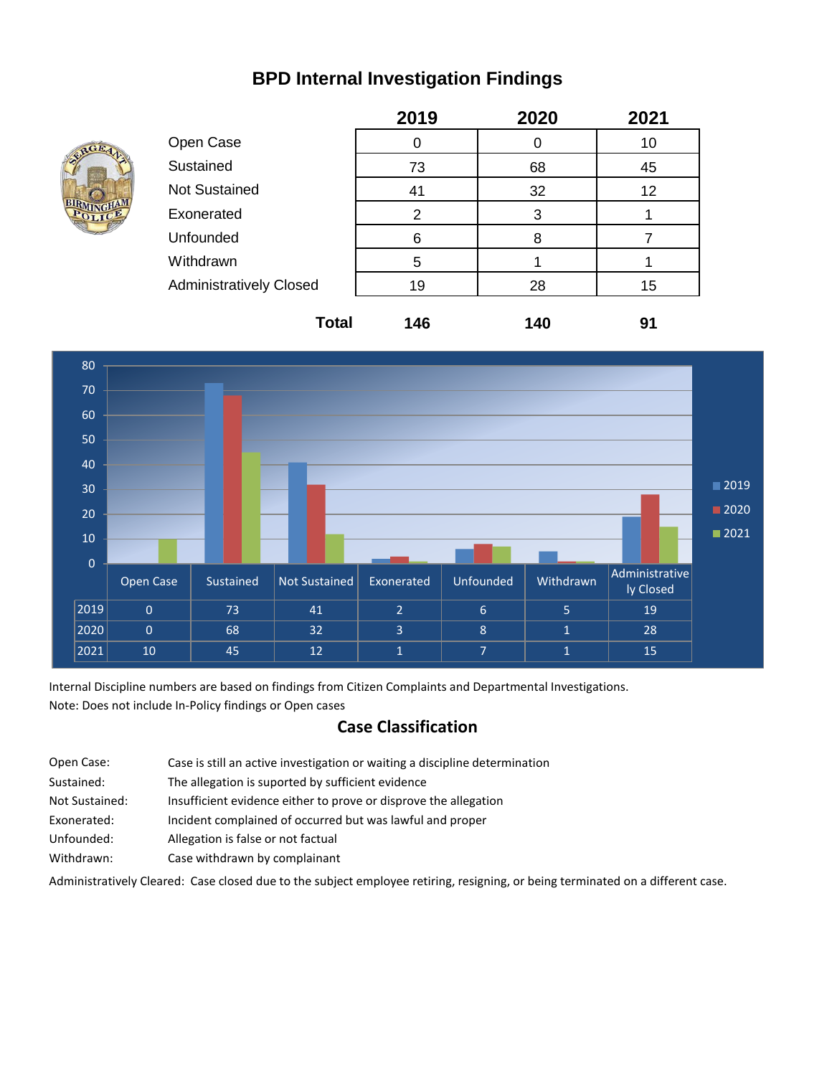#### **BPD Internal Investigation Findings**



|                                | 2019 | 2020 | 2021 |
|--------------------------------|------|------|------|
| Open Case                      | 0    |      | 10   |
| Sustained                      | 73   | 68   | 45   |
| <b>Not Sustained</b>           | 41   | 32   | 12   |
| Exonerated                     | 2    | 3    |      |
| Unfounded                      | 6    | 8    |      |
| Withdrawn                      | 5    |      |      |
| <b>Administratively Closed</b> | 19   | 28   | 15   |
|                                |      |      |      |



Internal Discipline numbers are based on findings from Citizen Complaints and Departmental Investigations. Note: Does not include In-Policy findings or Open cases

#### **Case Classification**

Open Case: Sustained: Not Sustained: Insufficient evidence either to prove or disprove the allegation Exonerated: Incident complained of occurred but was lawful and proper Unfounded: Allegation is false or not factual Withdrawn: Case withdrawn by complainant The allegation is suported by sufficient evidence Case is still an active investigation or waiting a discipline determination

Administratively Cleared: Case closed due to the subject employee retiring, resigning, or being terminated on a different case.